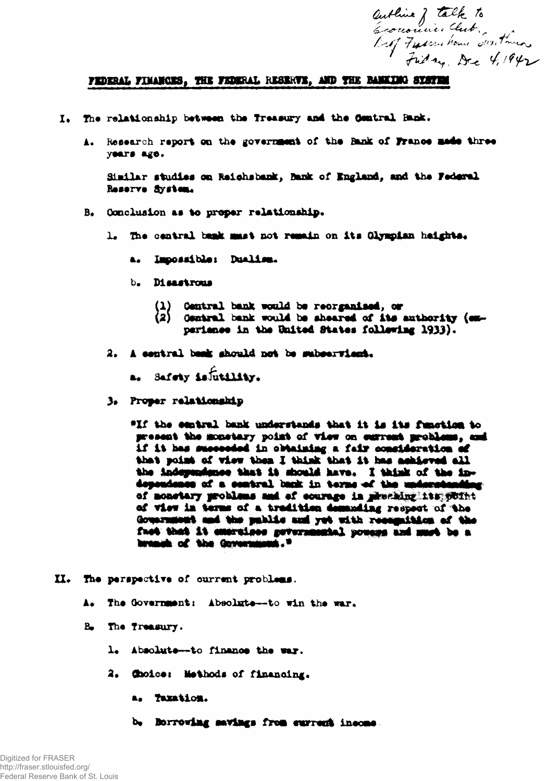authine of talk to<br>Economies Club.<br>Lef Freeze House Suntana.

## FEDERAL FINANCES, THE FEDERAL RESERVE, AND THE BANKING STSTEM

- I. The relationship between the Treasury and the Central Bank.
	- A. Research report on the government of the Bank of France made three years ago.

Similar studies on Reichsbank, Bank of England, and the Federal Reserve System.

- B. Conclusion as to proper relationship.
	- 1. The central bank must not remain on its Glympian haights.
		- a. Impossible: Dualism.
		- b. Disastrous
			- Contral bank would be reorganised, or
			- (1) Central bank would be reorganised, or<br>(2) Central bank would be sheared of its authority (expariance in the United States following 1933).
	- 2. A central bask should not be subservised.
		- a. Safety is futility.
	- 3. Proper relationship

"If the central bank understands that it is its function to present the monetary point of view on current problems, and if it has succeeded in obtaining a fair consideration of that point of view then I think that it has achieved all the independence that it should have. I think of the independence of a contral back in terms of the undecetending of monotary problems and of courage in presiding its point of view in terms of a tradition demanding respect of the Government and the public and yet with recognition of the fact that it emergines petermantal pouges and much be a breast of the Government,"

- II. The perspective of current problems.
	- A. The Government: Absolute--to win the war.
	- B. The Treasury.
		- 1. Absolute-to finance the war.
		- 2. Choice: Methods of financing.
			- a. Taxation.
			- b. Borrowing savings from surrent income.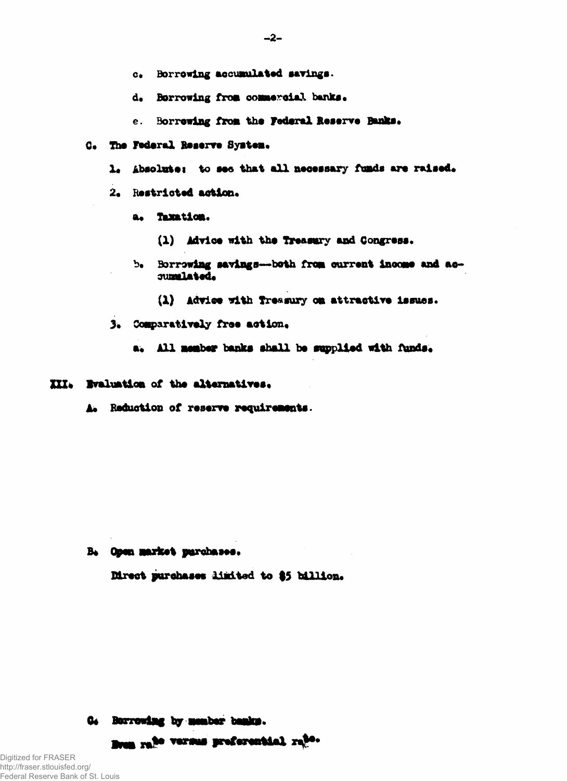- c. Borrowing accumulated savings.
- d. Borrowing from commercial banks.
- e. Borrewing from the Federal Reserve Banks.
- C. The Federal Reserve System.
	- 1. Absolute: to see that all necessary funds are raised.
	- 2. Restricted action.
		- a. Taxation.
			- (1) Advice with the Treasury and Congress.
		- b. Borrowing savings--- both from current income and accumulated.
			- (1) Advice with Treasury on attractive issues.
	- 3. Comparatively free action.
		- a. All member banks shall be supplied with funds.

## III. Bvaluation of the alternatives.

A. Reduction of reserve requirements.

B. Open market purchases.

Direct purchases limited to \$5 billion.

## G. Berrowing by member banks.

Bran ra<sup>te</sup> versus preferential rate.